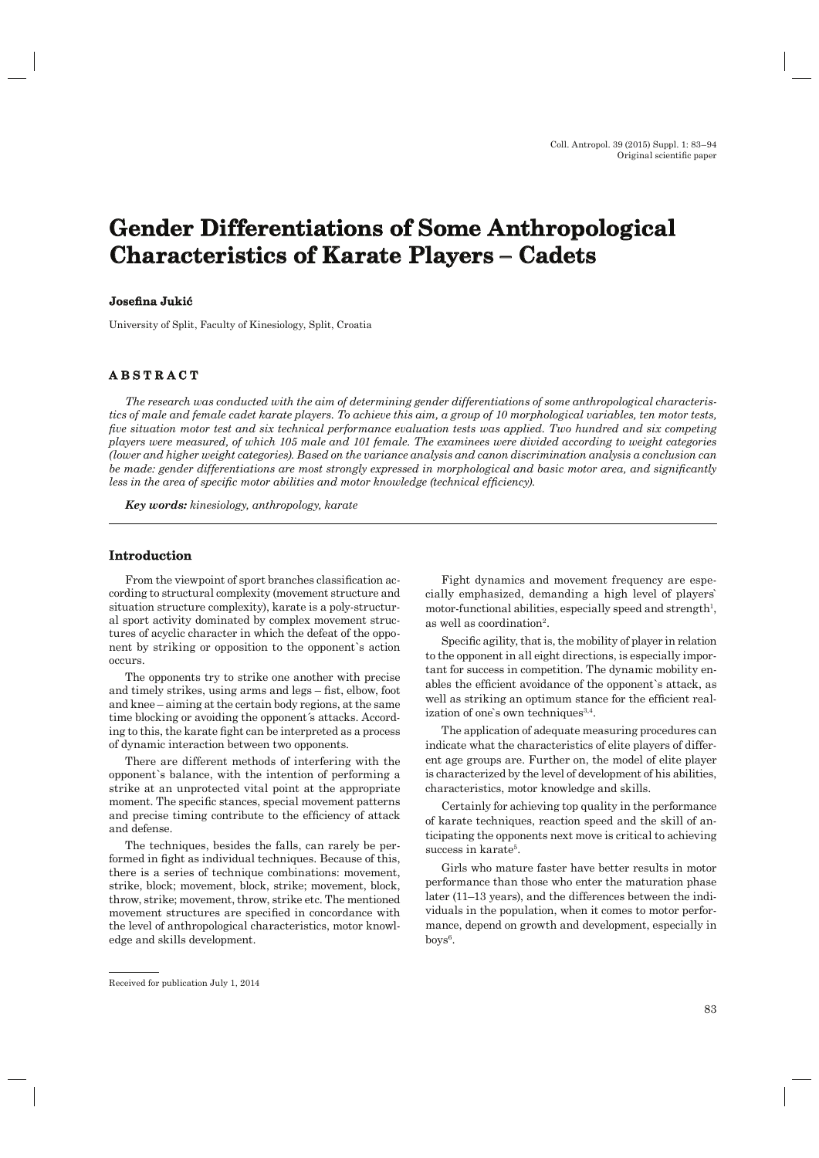# **Gender Differentiations of Some Anthropological Characteristics of Karate Players – Cadets haracteristics**

## **Josefina Juki na ć**

University of Split, Faculty of Kinesiology, Split, Croatia

# **ABSTRACT B S T R A C T**

*The research was conducted with the aim of determining gender differentiations of some anthropological characteristics of male and female cadet karate players. To achieve this aim, a group of 10 morphological variables, ten motor tests, five situation motor test and six technical performance evaluation tests was applied. Two hundred and six competing players were measured, of which 105 male and 101 female. The examinees were divided according to weight categories (lower and higher weight categories). Based on the variance analysis and canon discrimination analysis a conclusion can be made: gender differentiations are most strongly expressed in morphological and basic motor area, and significantly less in the area of specific motor abilities and motor knowledge (technical efficiency).* 

*Key words: kinesiology, anthropology, karate*

## **Introduction ntroduction**

From the viewpoint of sport branches classification according to structural complexity (movement structure and situation structure complexity), karate is a poly-structural sport activity dominated by complex movement structures of acyclic character in which the defeat of the opponent by striking or opposition to the opponent`s action occurs.

The opponents try to strike one another with precise and timely strikes, using arms and  $\log s$  – fist, elbow, foot and knee – aiming at the certain body regions, at the same time blocking or avoiding the opponent´s attacks. According to this, the karate fight can be interpreted as a process of dynamic interaction between two opponents.

There are different methods of interfering with the opponent`s balance, with the intention of performing a strike at an unprotected vital point at the appropriate moment. The specific stances, special movement patterns and precise timing contribute to the efficiency of attack and defense.

The techniques, besides the falls, can rarely be performed in fight as individual techniques. Because of this, there is a series of technique combinations: movement, strike, block; movement, block, strike; movement, block, throw, strike; movement, throw, strike etc. The mentioned movement structures are specified in concordance with the level of anthropological characteristics, motor knowledge and skills development.

Fight dynamics and movement frequency are especially emphasized, demanding a high level of players` motor-functional abilities, especially speed and strength<sup>1</sup>, as well as coordination2.

Specific agility, that is, the mobility of player in relation to the opponent in all eight directions, is especially important for success in competition. The dynamic mobility enables the efficient avoidance of the opponent's attack, as well as striking an optimum stance for the efficient realization of one's own techniques $3,4$ .

The application of adequate measuring procedures can indicate what the characteristics of elite players of different age groups are. Further on, the model of elite player is characterized by the level of development of his abilities, characteristics, motor knowledge and skills.

Certainly for achieving top quality in the performance of karate techniques, reaction speed and the skill of anticipating the opponents next move is critical to achieving success in karate<sup>5</sup>.

Girls who mature faster have better results in motor performance than those who enter the maturation phase later (11–13 years), and the differences between the individuals in the population, when it comes to motor performance, depend on growth and development, especially in  $\text{boys}^6$ .

Received for publication July 1, 2014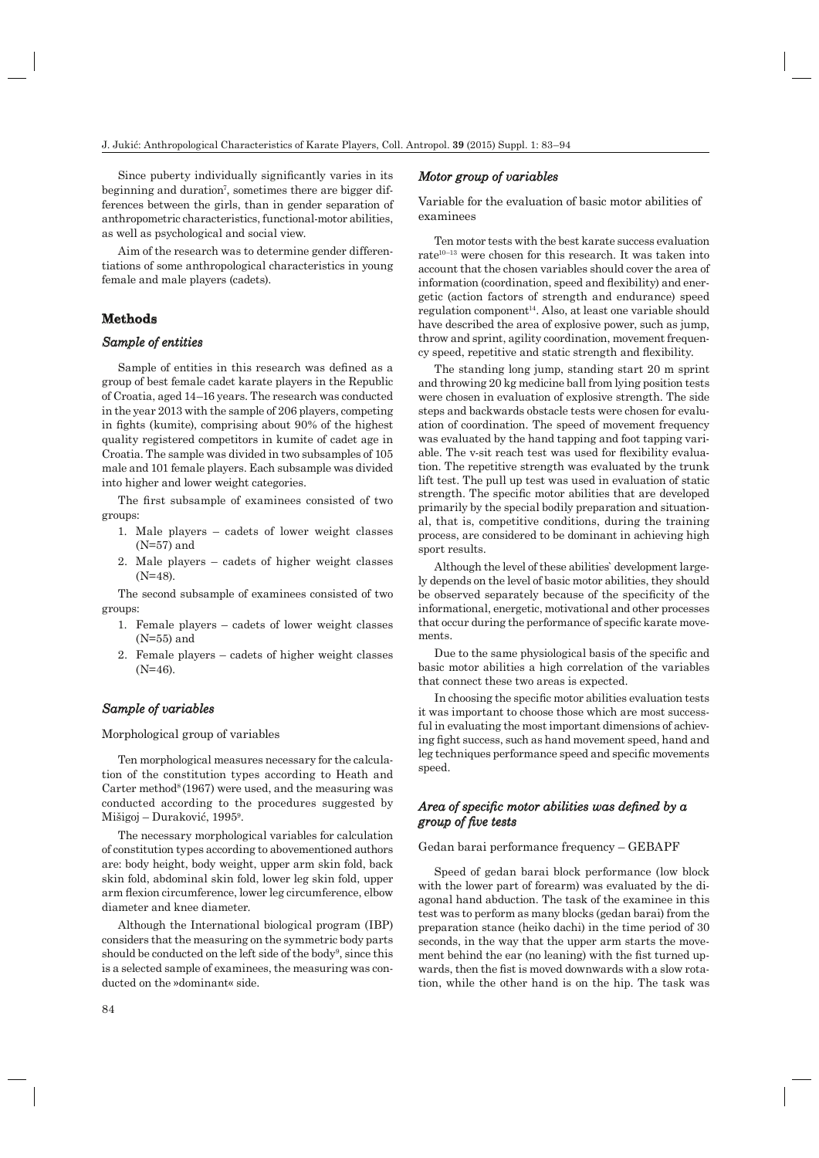Since puberty individually significantly varies in its beginning and duration<sup>7</sup>, sometimes there are bigger differences between the girls, than in gender separation of anthropometric characteristics, functional-motor abilities, as well as psychological and social view.

Aim of the research was to determine gender differentiations of some anthropological characteristics in young female and male players (cadets).

# **Methods**

## *Sample of entities ample*

Sample of entities in this research was defined as a group of best female cadet karate players in the Republic of Croatia, aged 14–16 years. The research was conducted in the year 2013 with the sample of 206 players, competing in fights (kumite), comprising about 90% of the highest quality registered competitors in kumite of cadet age in Croatia. The sample was divided in two subsamples of 105 male and 101 female players. Each subsample was divided into higher and lower weight categories.

The first subsample of examinees consisted of two groups:

- 1. Male players cadets of lower weight classes (N=57) and
- 2. Male players cadets of higher weight classes (N=48).

The second subsample of examinees consisted of two groups:

- 1. Female players cadets of lower weight classes (N=55) and
- 2. Female players cadets of higher weight classes  $(N=46)$ .

# *Sample of variables ample*

Morphological group of variables

Ten morphological measures necessary for the calculation of the constitution types according to Heath and Carter method<sup>8</sup> (1967) were used, and the measuring was conducted according to the procedures suggested by Mišigoj – Duraković, 19959 .

The necessary morphological variables for calculation of constitution types according to abovementioned authors are: body height, body weight, upper arm skin fold, back skin fold, abdominal skin fold, lower leg skin fold, upper arm flexion circumference, lower leg circumference, elbow diameter and knee diameter.

Although the International biological program (IBP) considers that the measuring on the symmetric body parts should be conducted on the left side of the body<sup>9</sup>, since this is a selected sample of examinees, the measuring was conducted on the »dominant« side.

# *Motor group of variables otor*

Variable for the evaluation of basic motor abilities of examinees

Ten motor tests with the best karate success evaluation rate $10-13$  were chosen for this research. It was taken into account that the chosen variables should cover the area of information (coordination, speed and flexibility) and energetic (action factors of strength and endurance) speed  $regulation component<sup>14</sup>. Also, at least one variable should$ have described the area of explosive power, such as jump, throw and sprint, agility coordination, movement frequency speed, repetitive and static strength and flexibility.

The standing long jump, standing start 20 m sprint and throwing 20 kg medicine ball from lying position tests were chosen in evaluation of explosive strength. The side steps and backwards obstacle tests were chosen for evaluation of coordination. The speed of movement frequency was evaluated by the hand tapping and foot tapping variable. The v-sit reach test was used for flexibility evaluation. The repetitive strength was evaluated by the trunk lift test. The pull up test was used in evaluation of static strength. The specific motor abilities that are developed primarily by the special bodily preparation and situational, that is, competitive conditions, during the training process, are considered to be dominant in achieving high sport results.

Although the level of these abilities` development largely depends on the level of basic motor abilities, they should be observed separately because of the specificity of the informational, energetic, motivational and other processes that occur during the performance of specific karate movements.

Due to the same physiological basis of the specific and basic motor abilities a high correlation of the variables that connect these two areas is expected.

In choosing the specific motor abilities evaluation tests it was important to choose those which are most successful in evaluating the most important dimensions of achieving fight success, such as hand movement speed, hand and leg techniques performance speed and specific movements speed.

# *Area of specific motor abilities was defined by a group of roup five tests ve*

## Gedan barai performance frequency – GEBAPF

Speed of gedan barai block performance (low block with the lower part of forearm) was evaluated by the diagonal hand abduction. The task of the examinee in this test was to perform as many blocks (gedan barai) from the preparation stance (heiko dachi) in the time period of 30 seconds, in the way that the upper arm starts the movement behind the ear (no leaning) with the fist turned upwards, then the fist is moved downwards with a slow rotation, while the other hand is on the hip. The task was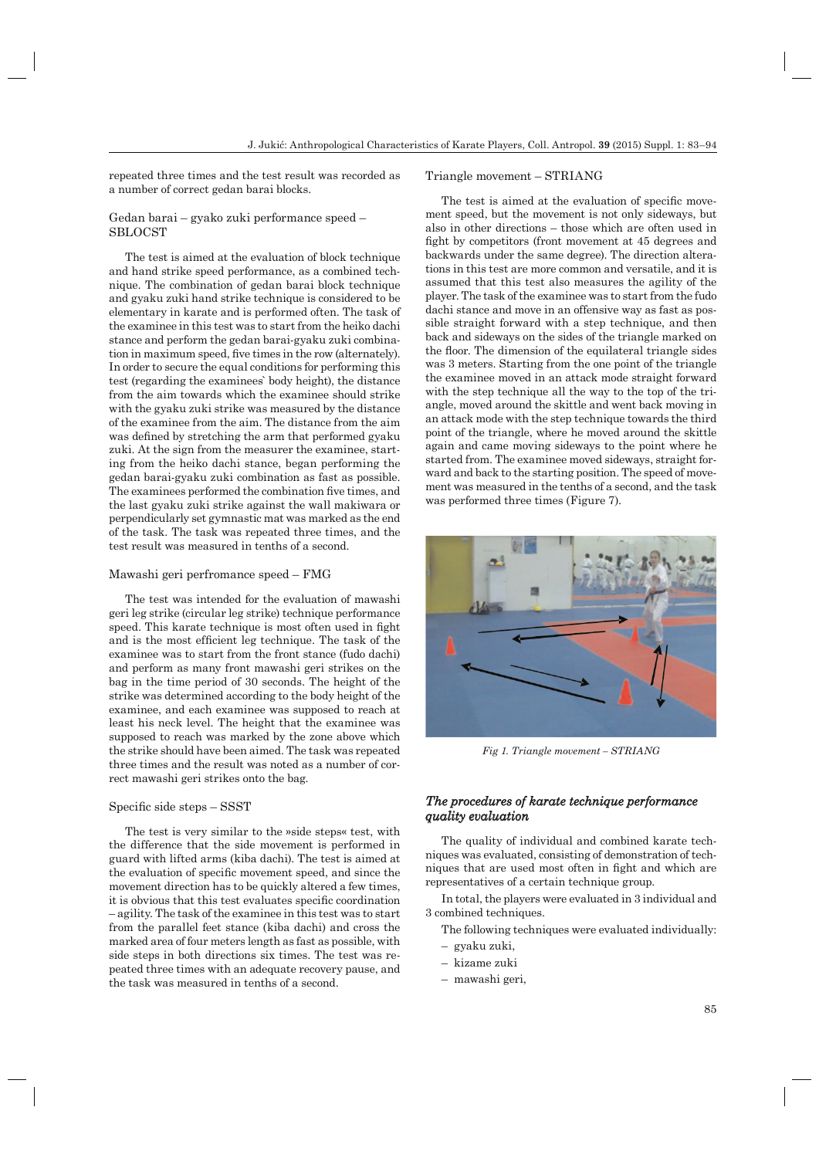repeated three times and the test result was recorded as a number of correct gedan barai blocks.

## Gedan barai – gyako zuki performance speed – **SBLOCST**

The test is aimed at the evaluation of block technique and hand strike speed performance, as a combined technique. The combination of gedan barai block technique and gyaku zuki hand strike technique is considered to be elementary in karate and is performed often. The task of the examinee in this test was to start from the heiko dachi stance and perform the gedan barai-gyaku zuki combination in maximum speed, five times in the row (alternately). In order to secure the equal conditions for performing this test (regarding the examinees` body height), the distance from the aim towards which the examinee should strike with the gyaku zuki strike was measured by the distance of the examinee from the aim. The distance from the aim was defined by stretching the arm that performed gyaku zuki. At the sign from the measurer the examinee, starting from the heiko dachi stance, began performing the gedan barai-gyaku zuki combination as fast as possible. The examinees performed the combination five times, and the last gyaku zuki strike against the wall makiwara or perpendicularly set gymnastic mat was marked as the end of the task. The task was repeated three times, and the test result was measured in tenths of a second.

## Mawashi geri perfromance speed – FMG

The test was intended for the evaluation of mawashi geri leg strike (circular leg strike) technique performance speed. This karate technique is most often used in fight and is the most efficient leg technique. The task of the examinee was to start from the front stance (fudo dachi) and perform as many front mawashi geri strikes on the bag in the time period of 30 seconds. The height of the strike was determined according to the body height of the examinee, and each examinee was supposed to reach at least his neck level. The height that the examinee was supposed to reach was marked by the zone above which the strike should have been aimed. The task was repeated three times and the result was noted as a number of correct mawashi geri strikes onto the bag.

## Specific side steps – SSST

The test is very similar to the »side steps« test, with the difference that the side movement is performed in guard with lifted arms (kiba dachi). The test is aimed at the evaluation of specific movement speed, and since the movement direction has to be quickly altered a few times, it is obvious that this test evaluates specific coordination – agility. The task of the examinee in this test was to start from the parallel feet stance (kiba dachi) and cross the marked area of four meters length as fast as possible, with side steps in both directions six times. The test was repeated three times with an adequate recovery pause, and the task was measured in tenths of a second.

## Triangle movement – STRIANG

The test is aimed at the evaluation of specific movement speed, but the movement is not only sideways, but also in other directions – those which are often used in fight by competitors (front movement at 45 degrees and backwards under the same degree). The direction alterations in this test are more common and versatile, and it is assumed that this test also measures the agility of the player. The task of the examinee was to start from the fudo dachi stance and move in an offensive way as fast as possible straight forward with a step technique, and then back and sideways on the sides of the triangle marked on the floor. The dimension of the equilateral triangle sides was 3 meters. Starting from the one point of the triangle the examinee moved in an attack mode straight forward with the step technique all the way to the top of the triangle, moved around the skittle and went back moving in an attack mode with the step technique towards the third point of the triangle, where he moved around the skittle again and came moving sideways to the point where he started from. The examinee moved sideways, straight forward and back to the starting position. The speed of movement was measured in the tenths of a second, and the task was performed three times (Figure 7).



*Fig 1. Triangle movement – STRIANG*

# *The procedures of karate technique performance quality evaluation uality evaluation*

The quality of individual and combined karate techniques was evaluated, consisting of demonstration of techniques that are used most often in fight and which are representatives of a certain technique group.

In total, the players were evaluated in 3 individual and 3 combined techniques.

- The following techniques were evaluated individually:
- gyaku zuki,
- kizame zuki
- mawashi geri,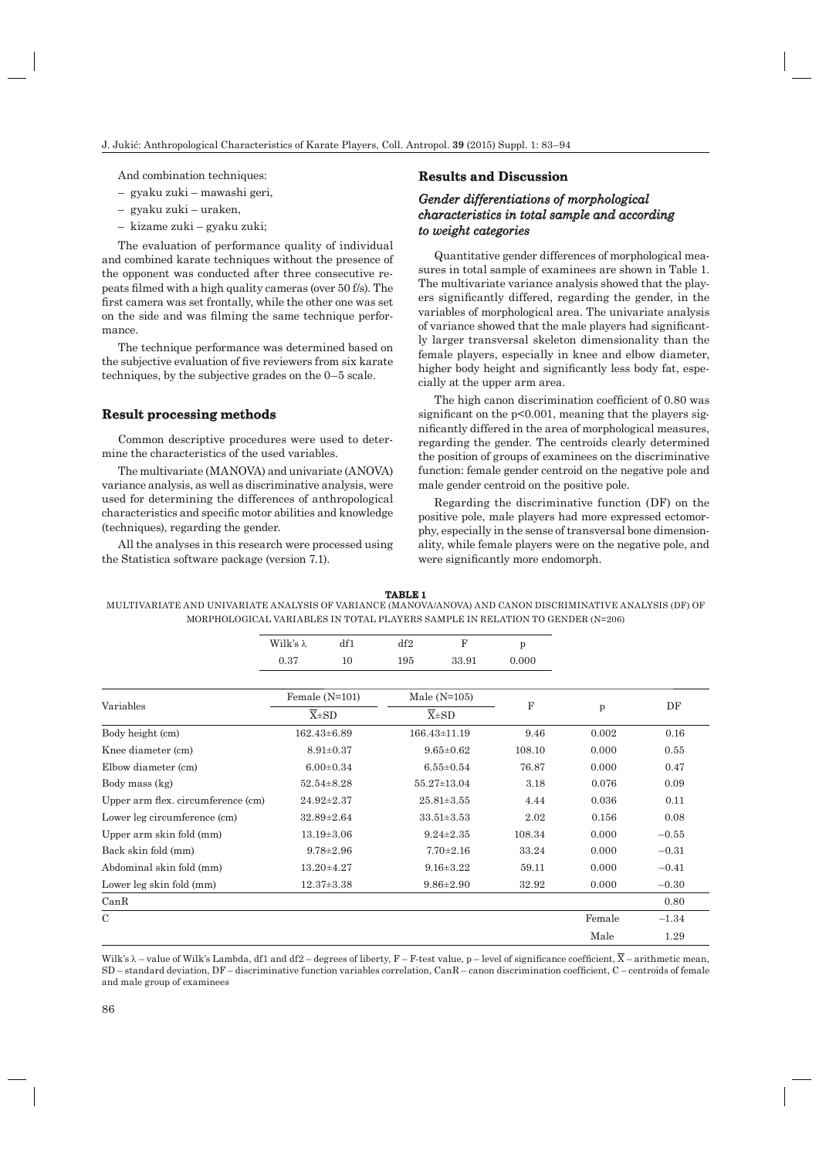And combination techniques:

- gyaku zuki mawashi geri,
- gyaku zuki uraken,
- kizame zuki gyaku zuki;

The evaluation of performance quality of individual and combined karate techniques without the presence of the opponent was conducted after three consecutive repeats filmed with a high quality cameras (over 50 f/s). The first camera was set frontally, while the other one was set on the side and was filming the same technique performance.

The technique performance was determined based on the subjective evaluation of five reviewers from six karate techniques, by the subjective grades on the 0–5 scale.

## **Result processing methods**

Common descriptive procedures were used to determine the characteristics of the used variables.

The multivariate (MANOVA) and univariate (ANOVA) variance analysis, as well as discriminative analysis, were used for determining the differences of anthropological characteristics and specific motor abilities and knowledge (techniques), regarding the gender.

All the analyses in this research were processed using the Statistica software package (version 7.1).

# **Results and Discussion**

# *Gender differentiations of morphological characteristics in total sample and according haracteristics to weight categories o weight*

Quantitative gender differences of morphological measures in total sample of examinees are shown in Table 1. The multivariate variance analysis showed that the players significantly differed, regarding the gender, in the variables of morphological area. The univariate analysis of variance showed that the male players had significantly larger transversal skeleton dimensionality than the female players, especially in knee and elbow diameter, higher body height and significantly less body fat, especially at the upper arm area.

The high canon discrimination coefficient of 0.80 was significant on the  $p<0.001$ , meaning that the players significantly differed in the area of morphological measures, regarding the gender. The centroids clearly determined the position of groups of examinees on the discriminative function: female gender centroid on the negative pole and male gender centroid on the positive pole.

Regarding the discriminative function (DF) on the positive pole, male players had more expressed ectomorphy, especially in the sense of transversal bone dimensionality, while female players were on the negative pole, and were significantly more endomorph.

**TABLE 1** MULTIVARIATE AND UNIVARIATE ANALYSIS OF VARIANCE (MANOVA/ANOVA) AND CANON DISCRIMINATIVE ANALYSIS (DF) OF MORPHOLOGICAL VARIABLES IN TOTAL PLAYERS SAMPLE IN RELATION TO GENDER (N=206)

|                                    | Wilk's $\lambda$   | df1              | df2 | $_{\rm F}$                | p      |        |         |
|------------------------------------|--------------------|------------------|-----|---------------------------|--------|--------|---------|
|                                    | 0.37               | 10               | 195 | 33.91                     | 0.000  |        |         |
|                                    |                    |                  |     |                           |        |        |         |
|                                    |                    | Female $(N=101)$ |     | Male $(N=105)$            | F      |        | DF      |
| Variables                          | $\overline{X}$ ±SD |                  |     | $\overline{X}$ ±SD        |        | p      |         |
| Body height (cm)                   |                    | $162.43\pm 6.89$ |     | 166.43±11.19              | 9.46   | 0.002  | 0.16    |
| Knee diameter (cm)                 |                    | $8.91 \pm 0.37$  |     | $9.65 \pm 0.62$           | 108.10 | 0.000  | 0.55    |
| Elbow diameter (cm)                |                    | $6.00 \pm 0.34$  |     | $6.55 \pm 0.54$           | 76.87  | 0.000  | 0.47    |
| Body mass (kg)                     |                    | $52.54 \pm 8.28$ |     | 55.27±13.04               | 3.18   | 0.076  | 0.09    |
| Upper arm flex. circumference (cm) |                    | $24.92 \pm 2.37$ |     | $25.81 \pm 3.55$          | 4.44   | 0.036  | 0.11    |
| Lower leg circumference (cm)       |                    | $32.89 \pm 2.64$ |     | $33.51 \pm 3.53$          | 2.02   | 0.156  | 0.08    |
| Upper arm skin fold (mm)           |                    | $13.19 \pm 3.06$ |     | 108.34<br>$9.24 \pm 2.35$ |        | 0.000  | $-0.55$ |
| Back skin fold (mm)                |                    | $9.78 \pm 2.96$  |     | $7.70 \pm 2.16$           | 33.24  | 0.000  | $-0.31$ |
| Abdominal skin fold (mm)           |                    | $13.20 \pm 4.27$ |     | $9.16 \pm 3.22$           | 59.11  | 0.000  | $-0.41$ |
| Lower leg skin fold (mm)           |                    | $12.37 \pm 3.38$ |     | $9.86 \pm 2.90$           | 32.92  | 0.000  | $-0.30$ |
| CanR                               |                    |                  |     |                           |        |        | 0.80    |
| $\mathcal{C}$                      |                    |                  |     |                           |        | Female | $-1.34$ |
|                                    |                    |                  |     |                           |        | Male   | 1.29    |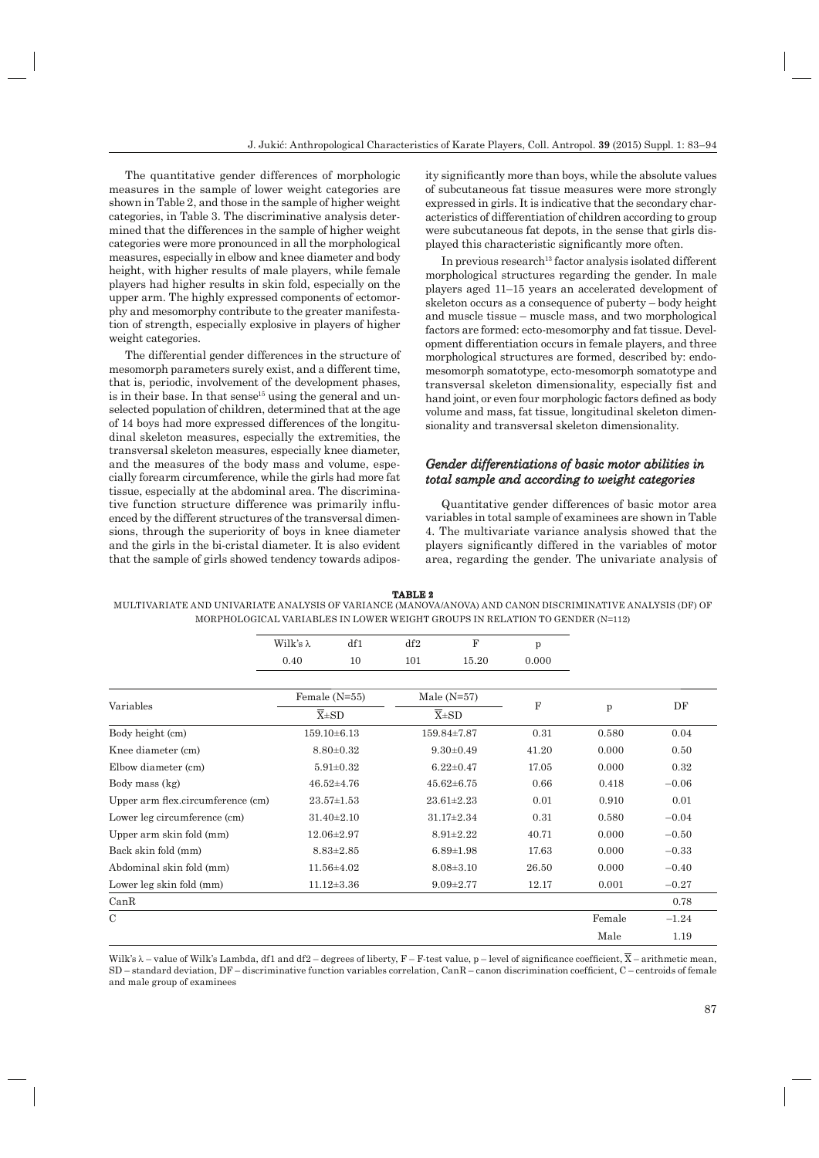The quantitative gender differences of morphologic measures in the sample of lower weight categories are shown in Table 2, and those in the sample of higher weight categories, in Table 3. The discriminative analysis determined that the differences in the sample of higher weight categories were more pronounced in all the morphological measures, especially in elbow and knee diameter and body height, with higher results of male players, while female players had higher results in skin fold, especially on the upper arm. The highly expressed components of ectomorphy and mesomorphy contribute to the greater manifestation of strength, especially explosive in players of higher weight categories.

The differential gender differences in the structure of mesomorph parameters surely exist, and a different time, that is, periodic, involvement of the development phases, is in their base. In that sense<sup>15</sup> using the general and unselected population of children, determined that at the age of 14 boys had more expressed differences of the longitudinal skeleton measures, especially the extremities, the transversal skeleton measures, especially knee diameter, and the measures of the body mass and volume, especially forearm circumference, while the girls had more fat tissue, especially at the abdominal area. The discriminative function structure difference was primarily influenced by the different structures of the transversal dimensions, through the superiority of boys in knee diameter and the girls in the bi-cristal diameter. It is also evident that the sample of girls showed tendency towards adiposity significantly more than boys, while the absolute values of subcutaneous fat tissue measures were more strongly expressed in girls. It is indicative that the secondary characteristics of differentiation of children according to group were subcutaneous fat depots, in the sense that girls displayed this characteristic significantly more often.

In previous research<sup>13</sup> factor analysis isolated different morphological structures regarding the gender. In male players aged 11–15 years an accelerated development of skeleton occurs as a consequence of puberty – body height and muscle tissue – muscle mass, and two morphological factors are formed: ecto-mesomorphy and fat tissue. Development differentiation occurs in female players, and three morphological structures are formed, described by: endomesomorph somatotype, ecto-mesomorph somatotype and transversal skeleton dimensionality, especially fist and hand joint, or even four morphologic factors defined as body volume and mass, fat tissue, longitudinal skeleton dimensionality and transversal skeleton dimensionality.

# *Gender differentiations of basic motor abilities in total sample and according to weight categories otal weight*

Quantitative gender differences of basic motor area variables in total sample of examinees are shown in Table 4. The multivariate variance analysis showed that the players significantly differed in the variables of motor area, regarding the gender. The univariate analysis of

**TABLE 2** MULTIVARIATE AND UNIVARIATE ANALYSIS OF VARIANCE (MANOVA/ANOVA) AND CANON DISCRIMINATIVE ANALYSIS (DF) OF MORPHOLOGICAL VARIABLES IN LOWER WEIGHT GROUPS IN RELATION TO GENDER (N=112)

|                                   | Wilk's $\lambda$ | df1                | df2 | $_{\rm F}$         | $\mathbf{p}$ |        |         |
|-----------------------------------|------------------|--------------------|-----|--------------------|--------------|--------|---------|
|                                   | 0.40             | 10                 | 101 | 15.20              | 0.000        |        |         |
|                                   |                  |                    |     |                    |              |        |         |
| Variables                         |                  | Female $(N=55)$    |     | Male $(N=57)$      | $\rm F$      | p      | DF      |
|                                   |                  | $\overline{X}$ ±SD |     | $\overline{X}$ ±SD |              |        |         |
| Body height (cm)                  |                  | $159.10 \pm 6.13$  |     | 159.84±7.87        | 0.31         | 0.580  | 0.04    |
| Knee diameter (cm)                |                  | $8.80 \pm 0.32$    |     | $9.30 \pm 0.49$    | 41.20        | 0.000  | 0.50    |
| Elbow diameter (cm)               |                  | $5.91 \pm 0.32$    |     | $6.22 \pm 0.47$    |              | 0.000  | 0.32    |
| Body mass (kg)                    |                  | $46.52 \pm 4.76$   |     | $45.62 \pm 6.75$   |              | 0.418  | $-0.06$ |
| Upper arm flex.circumference (cm) |                  | $23.57 \pm 1.53$   |     | $23.61 \pm 2.23$   |              | 0.910  | 0.01    |
| Lower leg circumference (cm)      |                  | $31.40 \pm 2.10$   |     | $31.17 \pm 2.34$   |              | 0.580  | $-0.04$ |
| Upper arm skin fold (mm)          |                  | 12.06±2.97         |     | $8.91 \pm 2.22$    | 40.71        | 0.000  | $-0.50$ |
| Back skin fold (mm)               |                  | $8.83 \pm 2.85$    |     | $6.89 \pm 1.98$    | 17.63        | 0.000  | $-0.33$ |
| Abdominal skin fold (mm)          |                  | 11.56±4.02         |     | $8.08 \pm 3.10$    | 26.50        | 0.000  | $-0.40$ |
| Lower leg skin fold (mm)          |                  | $11.12 \pm 3.36$   |     | $9.09 \pm 2.77$    | 12.17        | 0.001  | $-0.27$ |
| CanR                              |                  |                    |     |                    |              |        | 0.78    |
| $\mathcal{C}$                     |                  |                    |     |                    |              | Female | $-1.24$ |
|                                   |                  |                    |     |                    |              | Male   | 1.19    |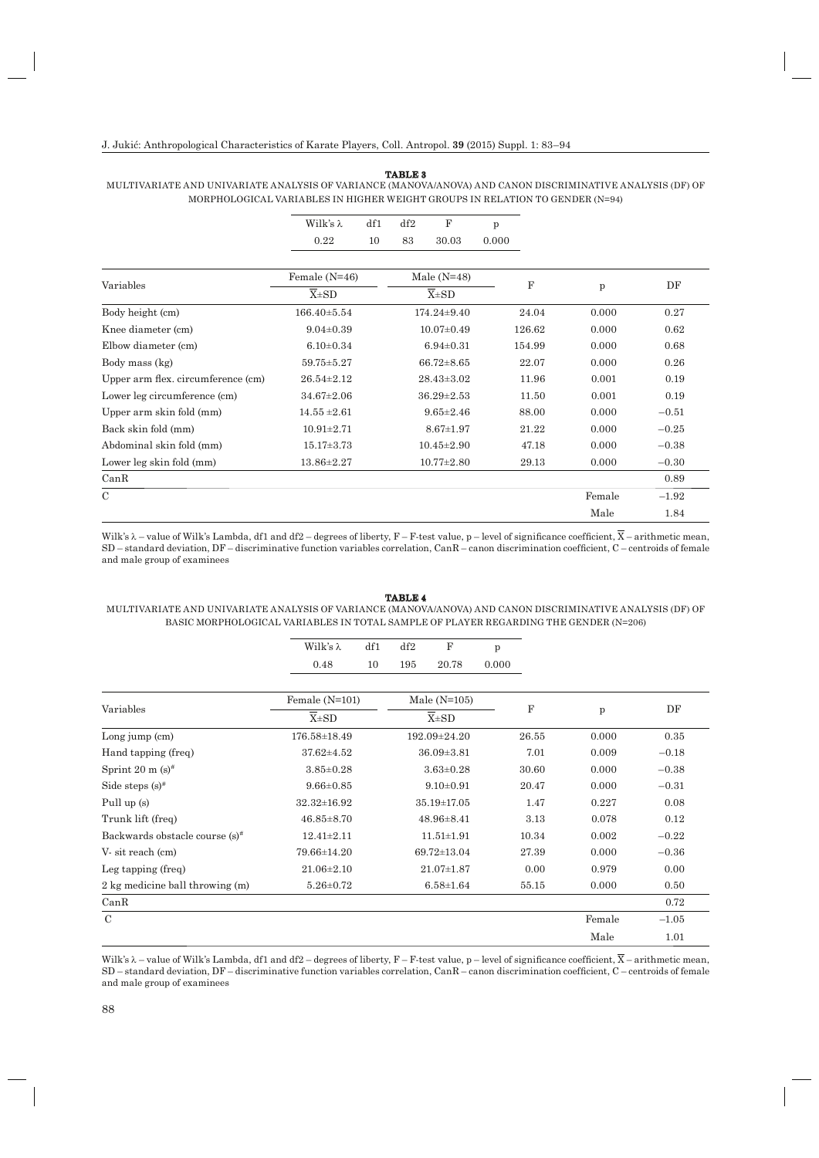|                                    | Wilk's λ          | df1 | df2              | F                 | p     |        |        |         |
|------------------------------------|-------------------|-----|------------------|-------------------|-------|--------|--------|---------|
|                                    | 0.22              | 10  | 83               | 30.03             | 0.000 |        |        |         |
|                                    | Female $(N=46)$   |     |                  | Male $(N=48)$     |       |        |        |         |
| Variables                          | $X\pm SD$         |     | $X\pm SD$        |                   | F     | p      | DF     |         |
| Body height (cm)                   | $166.40 \pm 5.54$ |     |                  | $174.24 \pm 9.40$ |       | 24.04  | 0.000  | 0.27    |
| Knee diameter (cm)                 | $9.04 \pm 0.39$   |     |                  | $10.07 \pm 0.49$  |       | 126.62 | 0.000  | 0.62    |
| Elbow diameter (cm)                | $6.10 \pm 0.34$   |     |                  | $6.94 \pm 0.31$   |       | 154.99 | 0.000  | 0.68    |
| Body mass (kg)                     | $59.75 \pm 5.27$  |     |                  | $66.72 \pm 8.65$  |       | 22.07  | 0.000  | 0.26    |
| Upper arm flex. circumference (cm) | $26.54 \pm 2.12$  |     |                  | $28.43 \pm 3.02$  |       | 11.96  | 0.001  | 0.19    |
| Lower leg circumference (cm)       | $34.67 \pm 2.06$  |     | $36.29 \pm 2.53$ |                   |       | 11.50  | 0.001  | 0.19    |
| Upper arm skin fold (mm)           | $14.55 \pm 2.61$  |     |                  | $9.65 \pm 2.46$   |       | 88.00  | 0.000  | $-0.51$ |
| Back skin fold (mm)                | $10.91 \pm 2.71$  |     |                  | $8.67 \pm 1.97$   |       | 21.22  | 0.000  | $-0.25$ |
| Abdominal skin fold (mm)           | $15.17 \pm 3.73$  |     |                  | $10.45 \pm 2.90$  |       | 47.18  | 0.000  | $-0.38$ |
| Lower leg skin fold (mm)           | $13.86 \pm 2.27$  |     |                  | $10.77 \pm 2.80$  |       | 29.13  | 0.000  | $-0.30$ |
| CanR                               |                   |     |                  |                   |       |        |        | 0.89    |
| $\mathcal{C}$                      |                   |     |                  |                   |       |        | Female | $-1.92$ |
|                                    |                   |     |                  |                   |       |        | Male   | 1.84    |

#### **TABLE 3** MULTIVARIATE AND UNIVARIATE ANALYSIS OF VARIANCE (MANOVA/ANOVA) AND CANON DISCRIMINATIVE ANALYSIS (DF) OF MORPHOLOGICAL VARIABLES IN HIGHER WEIGHT GROUPS IN RELATION TO GENDER (N=94)

Wilk's  $\lambda$  – value of Wilk's Lambda, df1 and df2 – degrees of liberty, F – F-test value, p – level of significance coefficient,  $\overline{X}$  – arithmetic mean, SD – standard deviation, DF – discriminative function variables correlation, CanR – canon discrimination coefficient, C – centroids of female and male group of examinees

#### **TABLE 4**

MULTIVARIATE AND UNIVARIATE ANALYSIS OF VARIANCE (MANOVA/ANOVA) AND CANON DISCRIMINATIVE ANALYSIS (DF) OF BASIC MORPHOLOGICAL VARIABLES IN TOTAL SAMPLE OF PLAYER REGARDING THE GENDER (N=206)

|                                            | Wilk's $\lambda$ | df1              | df2          | F                 | p     |       |        |         |
|--------------------------------------------|------------------|------------------|--------------|-------------------|-------|-------|--------|---------|
|                                            | 0.48             | 10               | 195          | 20.78             | 0.000 |       |        |         |
| Variables                                  | Female $(N=101)$ |                  |              | Male $(N=105)$    |       |       |        | DF      |
|                                            | $X\pm SD$        |                  |              | $X\pm SD$         |       | F     | p      |         |
| Long jump (cm)                             | 176.58±18.49     |                  | 192.09±24.20 |                   | 26.55 | 0.000 | 0.35   |         |
| Hand tapping (freq)                        |                  | $37.62 \pm 4.52$ |              |                   |       | 7.01  | 0.009  | $-0.18$ |
| Sprint 20 m $(s)$ <sup>#</sup>             | $3.85 \pm 0.28$  |                  |              | $3.63 \pm 0.28$   |       | 30.60 | 0.000  | $-0.38$ |
| Side steps $(s)$ <sup>#</sup>              |                  | $9.66 \pm 0.85$  |              |                   |       | 20.47 | 0.000  | $-0.31$ |
| Pull up (s)                                | 32.32±16.92      |                  |              | $35.19 \pm 17.05$ |       | 1.47  | 0.227  | 0.08    |
| Trunk lift (freq)                          | $46.85 \pm 8.70$ |                  |              | $48.96 \pm 8.41$  |       | 3.13  | 0.078  | 0.12    |
| Backwards obstacle course (s) <sup>#</sup> | $12.41 \pm 2.11$ |                  |              | $11.51 \pm 1.91$  |       | 10.34 | 0.002  | $-0.22$ |
| V- sit reach (cm)                          | 79.66±14.20      |                  |              | $69.72 \pm 13.04$ |       | 27.39 | 0.000  | $-0.36$ |
| Leg tapping (freq)                         | $21.06 \pm 2.10$ |                  |              | $21.07 \pm 1.87$  |       | 0.00  | 0.979  | 0.00    |
| 2 kg medicine ball throwing (m)            | $5.26 \pm 0.72$  |                  |              | $6.58 \pm 1.64$   |       | 55.15 | 0.000  | 0.50    |
| CanR                                       |                  |                  |              |                   |       |       |        | 0.72    |
| $\mathcal{C}$                              |                  |                  |              |                   |       |       | Female | $-1.05$ |
|                                            |                  |                  |              |                   |       |       | Male   | 1.01    |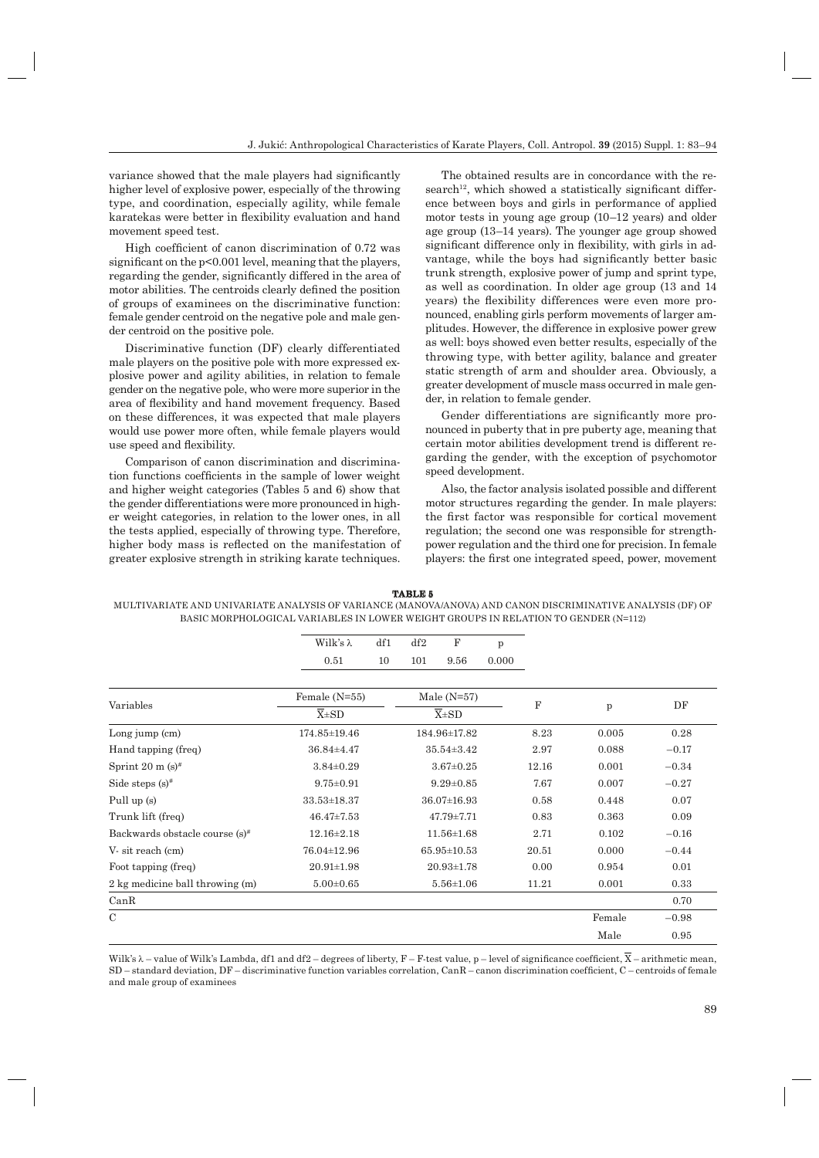variance showed that the male players had significantly higher level of explosive power, especially of the throwing type, and coordination, especially agility, while female karatekas were better in flexibility evaluation and hand movement speed test.

High coefficient of canon discrimination of 0.72 was significant on the  $p<0.001$  level, meaning that the players, regarding the gender, significantly differed in the area of motor abilities. The centroids clearly defined the position of groups of examinees on the discriminative function: female gender centroid on the negative pole and male gender centroid on the positive pole.

Discriminative function (DF) clearly differentiated male players on the positive pole with more expressed explosive power and agility abilities, in relation to female gender on the negative pole, who were more superior in the area of flexibility and hand movement frequency. Based on these differences, it was expected that male players would use power more often, while female players would use speed and flexibility.

Comparison of canon discrimination and discrimination functions coefficients in the sample of lower weight and higher weight categories (Tables 5 and 6) show that the gender differentiations were more pronounced in higher weight categories, in relation to the lower ones, in all the tests applied, especially of throwing type. Therefore, higher body mass is reflected on the manifestation of greater explosive strength in striking karate techniques.

The obtained results are in concordance with the re $search<sup>12</sup>$ , which showed a statistically significant difference between boys and girls in performance of applied motor tests in young age group (10–12 years) and older age group (13–14 years). The younger age group showed significant difference only in flexibility, with girls in advantage, while the boys had significantly better basic trunk strength, explosive power of jump and sprint type, as well as coordination. In older age group (13 and 14 years) the flexibility differences were even more pronounced, enabling girls perform movements of larger amplitudes. However, the difference in explosive power grew as well: boys showed even better results, especially of the throwing type, with better agility, balance and greater static strength of arm and shoulder area. Obviously, a greater development of muscle mass occurred in male gender, in relation to female gender.

Gender differentiations are significantly more pronounced in puberty that in pre puberty age, meaning that certain motor abilities development trend is different regarding the gender, with the exception of psychomotor speed development.

Also, the factor analysis isolated possible and different motor structures regarding the gender. In male players: the first factor was responsible for cortical movement regulation; the second one was responsible for strengthpower regulation and the third one for precision. In female players: the first one integrated speed, power, movement

**TABLE 5** MULTIVARIATE AND UNIVARIATE ANALYSIS OF VARIANCE (MANOVA/ANOVA) AND CANON DISCRIMINATIVE ANALYSIS (DF) OF BASIC MORPHOLOGICAL VARIABLES IN LOWER WEIGHT GROUPS IN RELATION TO GENDER (N=112)

|                                            | Wilk's $\lambda$   | df1              | df2                | $\mathbf F$       | p               |             |              |         |
|--------------------------------------------|--------------------|------------------|--------------------|-------------------|-----------------|-------------|--------------|---------|
|                                            | 0.51               | 10               | 101                | 9.56              | 0.000           |             |              |         |
|                                            |                    |                  |                    |                   |                 |             |              |         |
| Variables                                  | Female $(N=55)$    |                  |                    | Male $(N=57)$     |                 | $\mathbf F$ | $\mathbf{p}$ | DF      |
|                                            | $\overline{X}$ ±SD |                  | $\overline{X}$ ±SD |                   |                 |             |              |         |
| Long jump $(cm)$                           | 174.85±19.46       |                  |                    | 184.96±17.82      |                 | 8.23        | 0.005        | 0.28    |
| Hand tapping (freq)                        | $36.84 \pm 4.47$   | $35.54 \pm 3.42$ |                    |                   | 2.97            | 0.088       | $-0.17$      |         |
| Sprint 20 m $(s)$ <sup>#</sup>             | $3.84 \pm 0.29$    |                  | $3.67 \pm 0.25$    |                   | 12.16           | 0.001       | $-0.34$      |         |
| Side steps $(s)$ <sup>#</sup>              | $9.75 \pm 0.91$    |                  |                    |                   | $9.29 \pm 0.85$ | 7.67        | 0.007        | $-0.27$ |
| Pull up (s)                                | $33.53 \pm 18.37$  |                  | $36.07 \pm 16.93$  |                   |                 | 0.58        | 0.448        | 0.07    |
| Trunk lift (freq)                          | $46.47 \pm 7.53$   |                  | $47.79 \pm 7.71$   |                   |                 | 0.83        | 0.363        | 0.09    |
| Backwards obstacle course (s) <sup>#</sup> | $12.16 \pm 2.18$   |                  |                    | $11.56 \pm 1.68$  |                 | 2.71        | 0.102        | $-0.16$ |
| V-sit reach (cm)                           | 76.04±12.96        |                  |                    | $65.95 \pm 10.53$ |                 | 20.51       | 0.000        | $-0.44$ |
| Foot tapping (freq)                        | $20.91 \pm 1.98$   |                  |                    | $20.93 \pm 1.78$  |                 | 0.00        | 0.954        | 0.01    |
| 2 kg medicine ball throwing (m)            | $5.00 \pm 0.65$    |                  |                    | $5.56 \pm 1.06$   |                 | 11.21       | 0.001        | 0.33    |
| CanR                                       |                    |                  |                    |                   |                 |             |              | 0.70    |
| $\mathbf C$                                |                    |                  |                    |                   |                 |             | Female       | $-0.98$ |
|                                            |                    |                  |                    |                   |                 |             | Male         | 0.95    |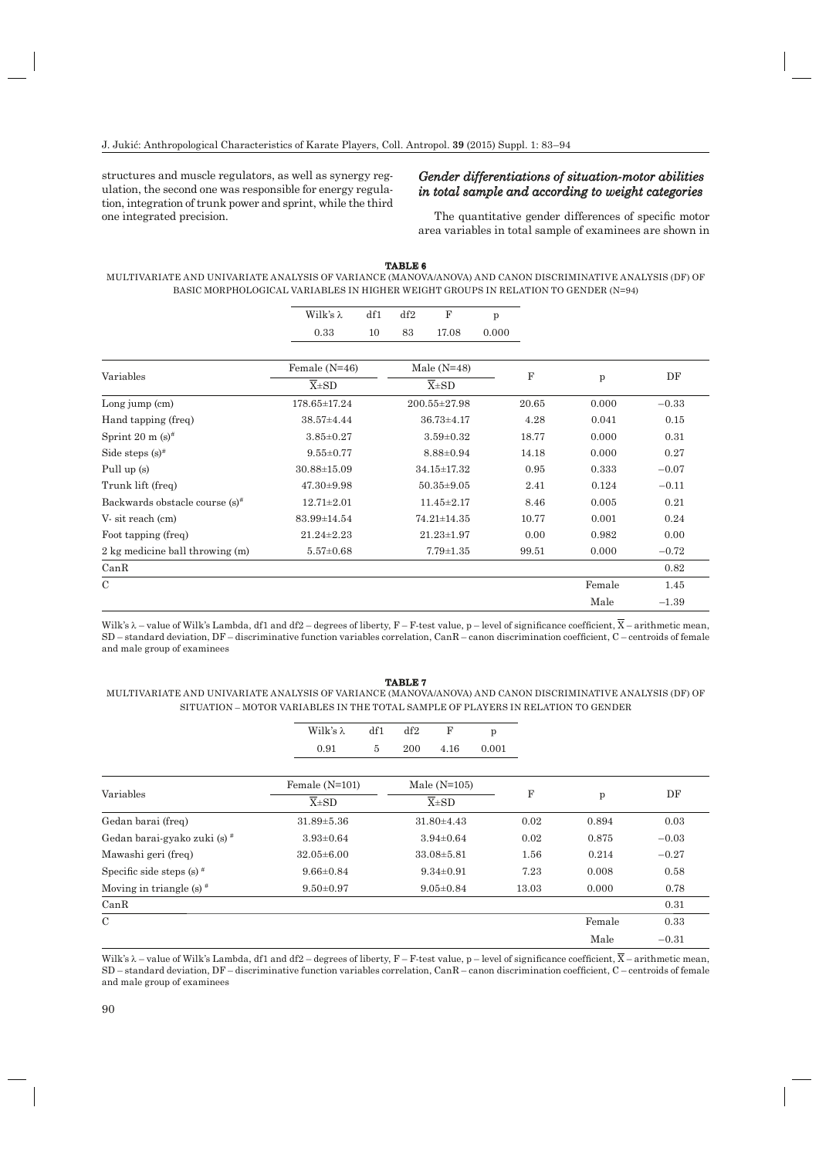structures and muscle regulators, as well as synergy regulation, the second one was responsible for energy regulation, integration of trunk power and sprint, while the third one integrated precision.

# *Gender differentiations of situation-motor abilities in total sample and according to weight categories n*

The quantitative gender differences of specific motor area variables in total sample of examinees are shown in

#### **TABLE 6**

MULTIVARIATE AND UNIVARIATE ANALYSIS OF VARIANCE (MANOVA/ANOVA) AND CANON DISCRIMINATIVE ANALYSIS (DF) OF BASIC MORPHOLOGICAL VARIABLES IN HIGHER WEIGHT GROUPS IN RELATION TO GENDER (N=94)

|                                   | Wilk's $\lambda$ | df1             | df2              | F                | p     |             |         |         |
|-----------------------------------|------------------|-----------------|------------------|------------------|-------|-------------|---------|---------|
|                                   | 0.33             | 10              | 83               | 17.08            | 0.000 |             |         |         |
|                                   |                  |                 |                  |                  |       |             |         |         |
| Variables                         |                  | Female $(N=46)$ |                  |                  |       | $\mathbf F$ |         | DF      |
|                                   | $X\pm SD$        |                 | $X\pm SD$        |                  |       | p           |         |         |
| Long jump $(cm)$                  | 178.65±17.24     |                 | 200.55±27.98     |                  | 20.65 | 0.000       | $-0.33$ |         |
| Hand tapping (freq)               | 38.57±4.44       |                 | 36.73±4.17       |                  | 4.28  | 0.041       | 0.15    |         |
| Sprint 20 m $(s)$ <sup>#</sup>    | $3.85 \pm 0.27$  |                 | $3.59 \pm 0.32$  |                  | 18.77 | 0.000       | 0.31    |         |
| Side steps $(s)$ <sup>#</sup>     | $9.55 \pm 0.77$  |                 | $8.88 \pm 0.94$  |                  |       | 14.18       | 0.000   | 0.27    |
| Pull up (s)                       | 30.88±15.09      |                 | 34.15±17.32      |                  |       | 0.95        | 0.333   | $-0.07$ |
| Trunk lift (freq)                 | $47.30 \pm 9.98$ |                 | $50.35 \pm 9.05$ |                  |       | 2.41        | 0.124   | $-0.11$ |
| Backwards obstacle course $(s)^*$ | $12.71 \pm 2.01$ |                 |                  | $11.45 \pm 2.17$ |       | 8.46        | 0.005   | 0.21    |
| V- sit reach (cm)                 | 83.99±14.54      |                 |                  | 74.21±14.35      |       | 10.77       | 0.001   | 0.24    |
| Foot tapping (freq)               | $21.24 \pm 2.23$ |                 |                  | $21.23 \pm 1.97$ |       | 0.00        | 0.982   | 0.00    |
| 2 kg medicine ball throwing (m)   | $5.57 \pm 0.68$  |                 |                  | $7.79 \pm 1.35$  |       | 99.51       | 0.000   | $-0.72$ |
| CanR                              |                  |                 |                  |                  |       |             |         | 0.82    |
| $\mathcal{C}$                     |                  |                 |                  |                  |       |             | Female  | 1.45    |
|                                   |                  |                 |                  |                  |       |             | Male    | $-1.39$ |

Wilk's  $\lambda$  – value of Wilk's Lambda, df1 and df2 – degrees of liberty, F – F-test value, p – level of significance coefficient,  $\overline{X}$  – arithmetic mean, SD – standard deviation, DF – discriminative function variables correlation, CanR – canon discrimination coefficient, C – centroids of female and male group of examinees

#### **TABLE 7**

MULTIVARIATE AND UNIVARIATE ANALYSIS OF VARIANCE (MANOVA/ANOVA) AND CANON DISCRIMINATIVE ANALYSIS (DF) OF SITUATION – MOTOR VARIABLES IN THE TOTAL SAMPLE OF PLAYERS IN RELATION TO GENDER

|                                         | Wilk's $\lambda$ | df1                           | df2              | $\mathbf F$      | p     |       |        |         |
|-----------------------------------------|------------------|-------------------------------|------------------|------------------|-------|-------|--------|---------|
|                                         | 0.91             | 5                             | 200              | 4.16             | 0.001 |       |        |         |
|                                         |                  | Female $(N=101)$<br>$X\pm SD$ |                  | Male $(N=105)$   |       |       |        |         |
| Variables                               |                  |                               |                  | $X\pm SD$        |       | F     | p      | DF      |
| Gedan barai (freq)                      | $31.89 \pm 5.36$ |                               |                  | $31.80 \pm 4.43$ |       | 0.02  | 0.894  | 0.03    |
| Gedan barai-gyako zuki (s) <sup>#</sup> | $3.93 \pm 0.64$  |                               | $3.94 \pm 0.64$  |                  |       | 0.02  | 0.875  | $-0.03$ |
| Mawashi geri (freq)                     | $32.05 \pm 6.00$ |                               | $33.08 \pm 5.81$ |                  |       | 1.56  | 0.214  | $-0.27$ |
| Specific side steps $(s)$ <sup>#</sup>  | $9.66 \pm 0.84$  |                               | $9.34 \pm 0.91$  |                  |       | 7.23  | 0.008  | 0.58    |
| Moving in triangle (s) $*$              | $9.50 \pm 0.97$  |                               |                  | $9.05 \pm 0.84$  |       | 13.03 | 0.000  | 0.78    |
| CanR                                    |                  |                               |                  |                  |       |       |        | 0.31    |
| $\mathcal{C}$                           |                  |                               |                  |                  |       |       | Female | 0.33    |
|                                         |                  |                               |                  |                  |       |       | Male   | $-0.31$ |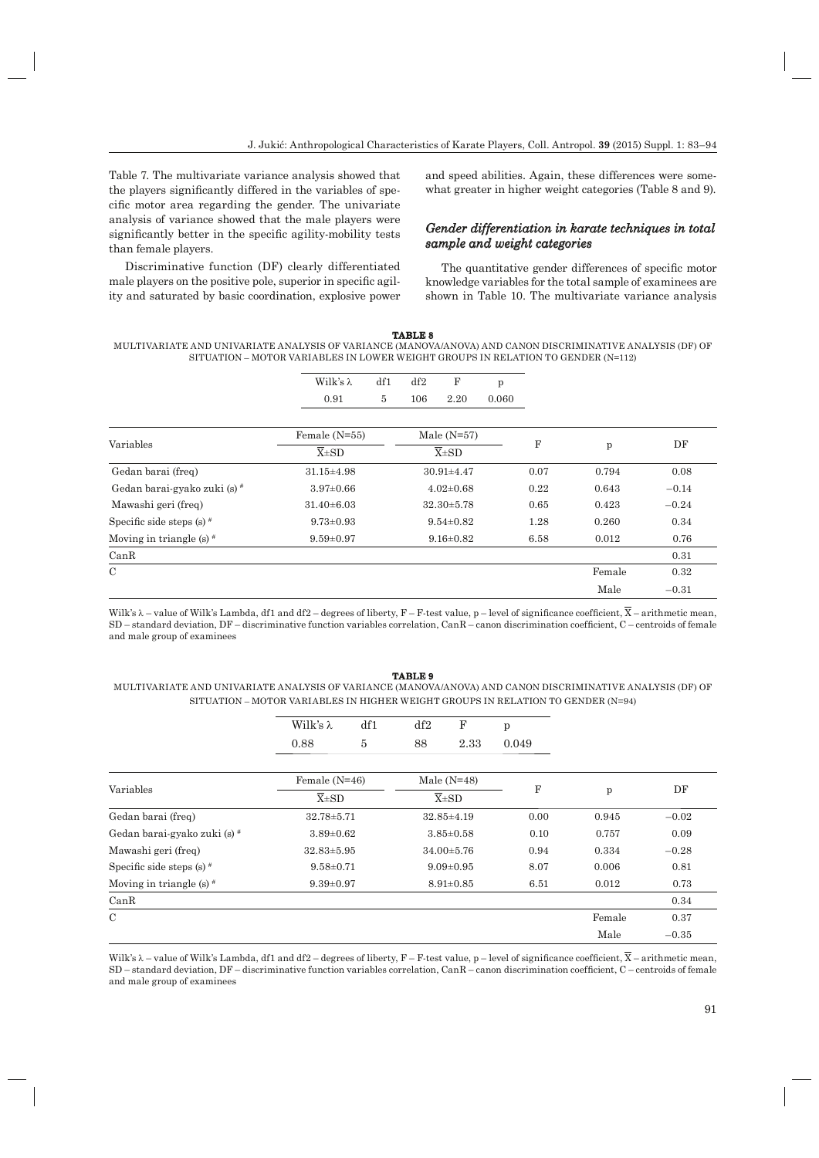Table 7. The multivariate variance analysis showed that the players significantly differed in the variables of specific motor area regarding the gender. The univariate analysis of variance showed that the male players were significantly better in the specific agility-mobility tests than female players.

Discriminative function (DF) clearly differentiated male players on the positive pole, superior in specific agility and saturated by basic coordination, explosive power and speed abilities. Again, these differences were somewhat greater in higher weight categories (Table 8 and 9).

# *Gender differentiation in karate techniques in total sample and weight categories ample*

The quantitative gender differences of specific motor knowledge variables for the total sample of examinees are shown in Table 10. The multivariate variance analysis

#### **TABLE 8** MULTIVARIATE AND UNIVARIATE ANALYSIS OF VARIANCE (MANOVA/ANOVA) AND CANON DISCRIMINATIVE ANALYSIS (DF) OF SITUATION – MOTOR VARIABLES IN LOWER WEIGHT GROUPS IN RELATION TO GENDER (N=112)

|                                         | Wilk's $\lambda$   | df1                |                  | $\mathbf F$<br>df2<br>p |       |       |        |         |
|-----------------------------------------|--------------------|--------------------|------------------|-------------------------|-------|-------|--------|---------|
|                                         | 0.91               | 5                  | 106              | 2.20                    | 0.060 |       |        |         |
|                                         | Female $(N=55)$    |                    |                  | Male $(N=57)$           |       |       |        |         |
| Variables                               | $\overline{X}$ ±SD | $\overline{X}$ ±SD |                  |                         | F     | p     | DF     |         |
| Gedan barai (freq)                      | $31.15 \pm 4.98$   | $30.91 \pm 4.47$   |                  |                         | 0.07  | 0.794 | 0.08   |         |
| Gedan barai-gyako zuki (s) <sup>#</sup> | $3.97 \pm 0.66$    |                    |                  |                         |       | 0.22  | 0.643  | $-0.14$ |
| Mawashi geri (freq)                     | $31.40\pm 6.03$    |                    | $32.30 \pm 5.78$ |                         |       | 0.65  | 0.423  | $-0.24$ |
| Specific side steps $(s)$ <sup>#</sup>  | $9.73 \pm 0.93$    |                    | $9.54 \pm 0.82$  |                         |       | 1.28  | 0.260  | 0.34    |
| Moving in triangle (s) $*$              | $9.59 \pm 0.97$    |                    |                  | $9.16 \pm 0.82$         |       | 6.58  | 0.012  | 0.76    |
| CanR                                    |                    |                    |                  |                         |       |       |        | 0.31    |
| $\mathcal{C}$                           |                    |                    |                  |                         |       |       | Female | 0.32    |
|                                         |                    |                    |                  |                         |       |       | Male   | $-0.31$ |
|                                         |                    |                    |                  |                         |       |       |        |         |

Wilk's  $\lambda$  – value of Wilk's Lambda, df1 and df2 – degrees of liberty, F – F-test value, p – level of significance coefficient,  $\overline{X}$  – arithmetic mean, SD – standard deviation, DF – discriminative function variables correlation, CanR – canon discrimination coefficient, C – centroids of female and male group of examinees

## **TABLE 9** MULTIVARIATE AND UNIVARIATE ANALYSIS OF VARIANCE (MANOVA/ANOVA) AND CANON DISCRIMINATIVE ANALYSIS (DF) OF SITUATION – MOTOR VARIABLES IN HIGHER WEIGHT GROUPS IN RELATION TO GENDER (N=94)

|                                         | Wilk's $\lambda$                      | df1 | df2                                 | F                | p     |        |         |
|-----------------------------------------|---------------------------------------|-----|-------------------------------------|------------------|-------|--------|---------|
|                                         | 0.88                                  | 5   | 88                                  | 2.33             | 0.049 |        |         |
|                                         | Female $(N=46)$<br>$\overline{X}$ ±SD |     | Male $(N=48)$<br>$\overline{X}$ ±SD |                  |       |        |         |
| Variables                               |                                       |     |                                     |                  | F     | p      | DF      |
| Gedan barai (freq)                      | $32.78 \pm 5.71$                      |     |                                     | $32.85 \pm 4.19$ | 0.00  | 0.945  | $-0.02$ |
| Gedan barai-gyako zuki (s) <sup>#</sup> | $3.89 \pm 0.62$                       |     |                                     | $3.85 \pm 0.58$  | 0.10  | 0.757  | 0.09    |
| Mawashi geri (freq)                     | $32.83 \pm 5.95$                      |     |                                     | $34.00 \pm 5.76$ | 0.94  | 0.334  | $-0.28$ |
| Specific side steps $(s)$ <sup>#</sup>  | $9.58 \pm 0.71$                       |     |                                     | $9.09 \pm 0.95$  | 8.07  | 0.006  | 0.81    |
| Moving in triangle (s) $*$              | $9.39 \pm 0.97$                       |     |                                     | $8.91 \pm 0.85$  | 6.51  | 0.012  | 0.73    |
| CanR                                    |                                       |     |                                     |                  |       |        | 0.34    |
| $\mathcal{C}$                           |                                       |     |                                     |                  |       | Female | 0.37    |
|                                         |                                       |     |                                     |                  |       | Male   | $-0.35$ |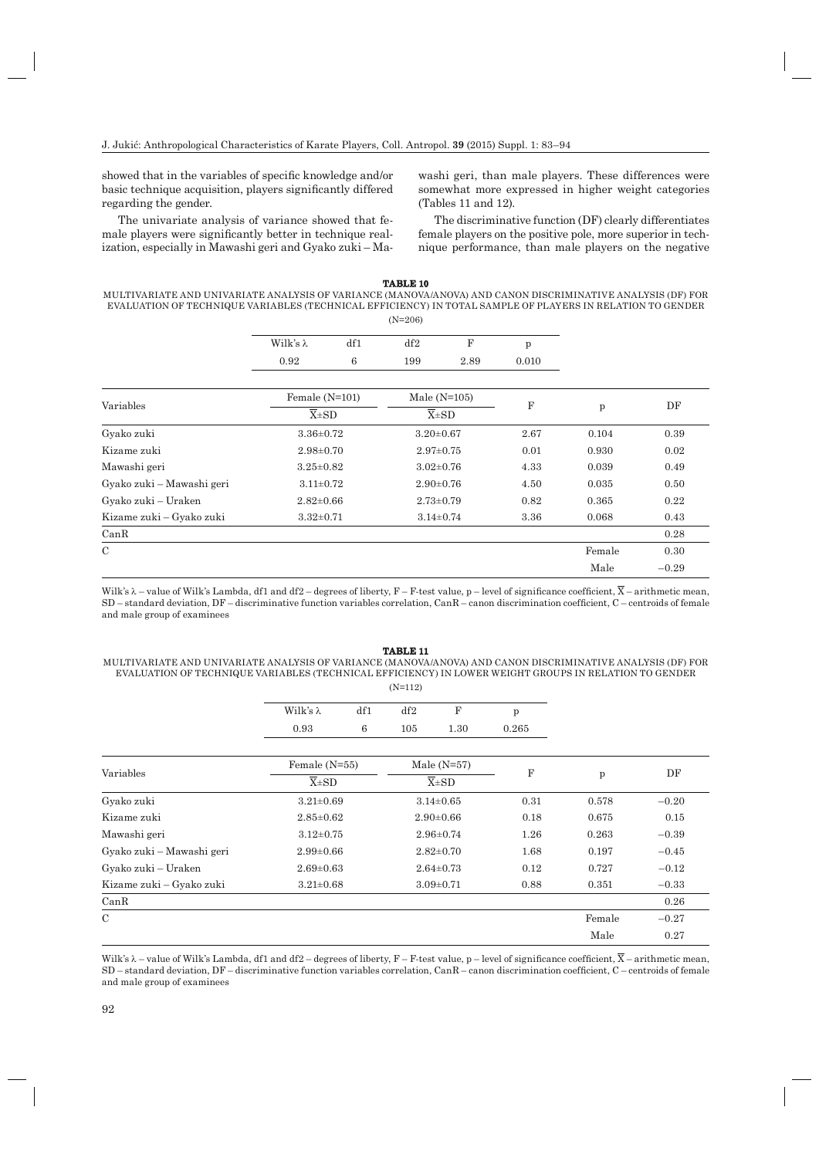showed that in the variables of specific knowledge and/or basic technique acquisition, players significantly differed regarding the gender.

The univariate analysis of variance showed that female players were significantly better in technique realization, especially in Mawashi geri and Gyako zuki – Mawashi geri, than male players. These differences were somewhat more expressed in higher weight categories (Tables 11 and 12).

The discriminative function (DF) clearly differentiates female players on the positive pole, more superior in technique performance, than male players on the negative

**TABLE 10** MULTIVARIATE AND UNIVARIATE ANALYSIS OF VARIANCE (MANOVA/ANOVA) AND CANON DISCRIMINATIVE ANALYSIS (DF) FOR EVALUATION OF TECHNIQUE VARIABLES (TECHNICAL EFFICIENCY) IN TOTAL SAMPLE OF PLAYERS IN RELATION TO GENDER (N=206)

|                           | Wilk's $\lambda$         | df1 | df2             | $\mathbf{F}$       | $\mathbf{p}$ |        |         |
|---------------------------|--------------------------|-----|-----------------|--------------------|--------------|--------|---------|
|                           | 6<br>2.89<br>0.92<br>199 |     |                 | 0.010              |              |        |         |
|                           | Female $(N=101)$         |     |                 | Male $(N=105)$     | F            |        |         |
| Variables                 | $X\pm SD$                |     |                 | $\overline{X}$ ±SD |              | p      | DF      |
| Gyako zuki                | $3.36 \pm 0.72$          |     | $3.20 \pm 0.67$ |                    | 2.67         | 0.104  | 0.39    |
| Kizame zuki               | $2.98 \pm 0.70$          |     | $2.97 \pm 0.75$ |                    | 0.01         | 0.930  | 0.02    |
| Mawashi geri              | $3.25 \pm 0.82$          |     | $3.02 \pm 0.76$ |                    | 4.33         | 0.039  | 0.49    |
| Gyako zuki – Mawashi geri | $3.11 \pm 0.72$          |     | $2.90 \pm 0.76$ |                    | 4.50         |        | 0.50    |
| Gyako zuki – Uraken       | $2.82 \pm 0.66$          |     | $2.73 \pm 0.79$ |                    | 0.82         | 0.365  | 0.22    |
| Kizame zuki – Gyako zuki  | $3.32 \pm 0.71$          |     |                 | $3.14 \pm 0.74$    | 3.36         | 0.068  | 0.43    |
| CanR                      |                          |     |                 |                    |              |        | 0.28    |
| $\mathcal{C}$             |                          |     |                 |                    |              | Female | 0.30    |
|                           |                          |     |                 |                    |              | Male   | $-0.29$ |

Wilk's  $\lambda$  – value of Wilk's Lambda, df1 and df2 – degrees of liberty, F – F-test value, p – level of significance coefficient,  $\overline{X}$  – arithmetic mean, SD – standard deviation, DF – discriminative function variables correlation, CanR – canon discrimination coefficient, C – centroids of female and male group of examinees

#### **TABLE 11**

#### MULTIVARIATE AND UNIVARIATE ANALYSIS OF VARIANCE (MANOVA/ANOVA) AND CANON DISCRIMINATIVE ANALYSIS (DF) FOR EVALUATION OF TECHNIQUE VARIABLES (TECHNICAL EFFICIENCY) IN LOWER WEIGHT GROUPS IN RELATION TO GENDER (N=112)

|                           | Wilk's $\lambda$<br>df1<br>df2 |                 |                 | $\mathbf F$     | p     |        |         |       |      |
|---------------------------|--------------------------------|-----------------|-----------------|-----------------|-------|--------|---------|-------|------|
|                           | 0.93                           | 6               | 105             | 1.30            | 0.265 |        |         |       |      |
|                           |                                | Female $(N=55)$ |                 | Male $(N=57)$   |       |        |         |       |      |
| Variables                 | $X\pm SD$                      |                 | $X\pm SD$       |                 | F     | p      | DF      |       |      |
| Gyako zuki                | $3.21 \pm 0.69$                |                 | $3.14 \pm 0.65$ |                 | 0.31  | 0.578  | $-0.20$ |       |      |
| Kizame zuki               | $2.85 \pm 0.62$                |                 | $2.90 \pm 0.66$ |                 |       |        | 0.18    | 0.675 | 0.15 |
| Mawashi geri              | $3.12 \pm 0.75$                |                 |                 | $2.96 \pm 0.74$ | 1.26  | 0.263  | $-0.39$ |       |      |
| Gyako zuki – Mawashi geri | $2.99 \pm 0.66$                |                 | $2.82 \pm 0.70$ |                 | 1.68  | 0.197  | $-0.45$ |       |      |
| Gyako zuki – Uraken       | $2.69 \pm 0.63$                |                 | $2.64 \pm 0.73$ |                 | 0.12  | 0.727  | $-0.12$ |       |      |
| Kizame zuki – Gyako zuki  | $3.21 \pm 0.68$                |                 |                 | $3.09 \pm 0.71$ | 0.88  | 0.351  | $-0.33$ |       |      |
| CanR                      |                                |                 |                 |                 |       |        | 0.26    |       |      |
| $\mathcal{C}$             |                                |                 |                 |                 |       | Female | $-0.27$ |       |      |
|                           |                                |                 |                 |                 |       | Male   | 0.27    |       |      |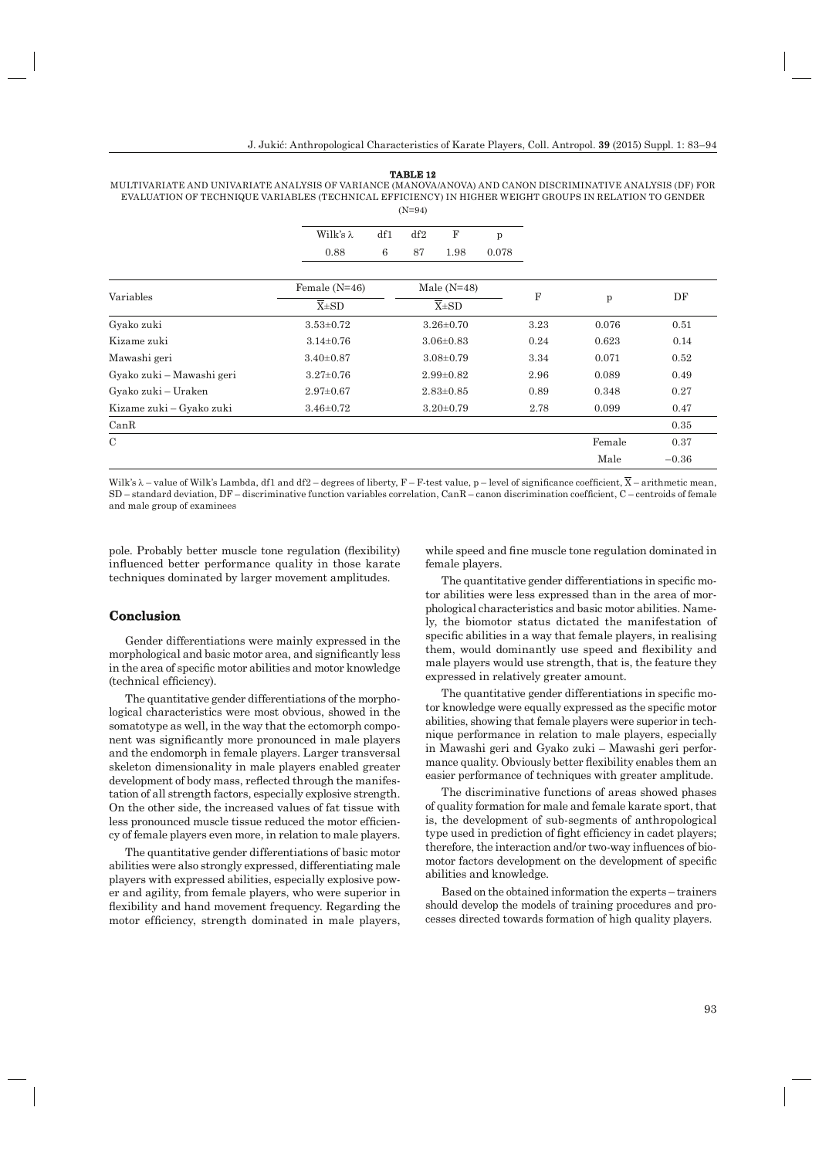#### **TABLE 12**

| MULTIVARIATE AND UNIVARIATE ANALYSIS OF VARIANCE (MANOVA/ANOVA) AND CANON DISCRIMINATIVE ANALYSIS (DF) FOR |
|------------------------------------------------------------------------------------------------------------|
| EVALUATION OF TECHNIQUE VARIABLES (TECHNICAL EFFICIENCY) IN HIGHER WEIGHT GROUPS IN RELATION TO GENDER     |
| $(N=94)$                                                                                                   |

| Wilk's $\lambda$   | df1 | df2                | $\mathbf F$ | p     |      |        |         |
|--------------------|-----|--------------------|-------------|-------|------|--------|---------|
| 0.88               | 6   | 87                 | 1.98        | 0.078 |      |        |         |
| Female $(N=46)$    |     | Male $(N=48)$      |             |       |      |        |         |
| $\overline{X}$ ±SD |     | $\overline{X}$ ±SD |             |       |      |        | DF      |
| $3.53 \pm 0.72$    |     | $3.26 \pm 0.70$    |             |       | 3.23 | 0.076  | 0.51    |
| $3.14 \pm 0.76$    |     | $3.06 \pm 0.83$    |             |       | 0.24 | 0.623  | 0.14    |
| $3.40 \pm 0.87$    |     | $3.08 \pm 0.79$    |             |       | 3.34 | 0.071  | 0.52    |
| $3.27 \pm 0.76$    |     | $2.99 \pm 0.82$    |             |       | 2.96 | 0.089  | 0.49    |
| $2.97 \pm 0.67$    |     | $2.83 \pm 0.85$    |             |       | 0.89 | 0.348  | 0.27    |
| $3.46 \pm 0.72$    |     | $3.20 \pm 0.79$    |             |       | 2.78 | 0.099  | 0.47    |
|                    |     |                    |             |       |      |        | 0.35    |
|                    |     |                    |             |       |      | Female | 0.37    |
|                    |     |                    |             |       |      | Male   | $-0.36$ |
|                    |     |                    |             |       |      | F      | p       |

Wilk's  $\lambda$  – value of Wilk's Lambda, df1 and df2 – degrees of liberty, F – F-test value, p – level of significance coefficient,  $\overline{X}$  – arithmetic mean, SD – standard deviation, DF – discriminative function variables correlation, CanR – canon discrimination coefficient, C – centroids of female and male group of examinees

pole. Probably better muscle tone regulation (flexibility) influenced better performance quality in those karate techniques dominated by larger movement amplitudes.

## **Conclusion onclusion**

Gender differentiations were mainly expressed in the morphological and basic motor area, and significantly less in the area of specific motor abilities and motor knowledge (technical efficiency).

The quantitative gender differentiations of the morphological characteristics were most obvious, showed in the somatotype as well, in the way that the ectomorph component was significantly more pronounced in male players and the endomorph in female players. Larger transversal skeleton dimensionality in male players enabled greater development of body mass, reflected through the manifestation of all strength factors, especially explosive strength. On the other side, the increased values of fat tissue with less pronounced muscle tissue reduced the motor efficiency of female players even more, in relation to male players.

The quantitative gender differentiations of basic motor abilities were also strongly expressed, differentiating male players with expressed abilities, especially explosive power and agility, from female players, who were superior in flexibility and hand movement frequency. Regarding the motor efficiency, strength dominated in male players,

while speed and fine muscle tone regulation dominated in female players.

The quantitative gender differentiations in specific motor abilities were less expressed than in the area of morphological characteristics and basic motor abilities. Namely, the biomotor status dictated the manifestation of specific abilities in a way that female players, in realising them, would dominantly use speed and flexibility and male players would use strength, that is, the feature they expressed in relatively greater amount.

The quantitative gender differentiations in specific motor knowledge were equally expressed as the specific motor abilities, showing that female players were superior in technique performance in relation to male players, especially in Mawashi geri and Gyako zuki – Mawashi geri performance quality. Obviously better flexibility enables them an easier performance of techniques with greater amplitude.

The discriminative functions of areas showed phases of quality formation for male and female karate sport, that is, the development of sub-segments of anthropological type used in prediction of fight efficiency in cadet players; therefore, the interaction and/or two-way influences of biomotor factors development on the development of specific abilities and knowledge.

Based on the obtained information the experts – trainers should develop the models of training procedures and processes directed towards formation of high quality players.